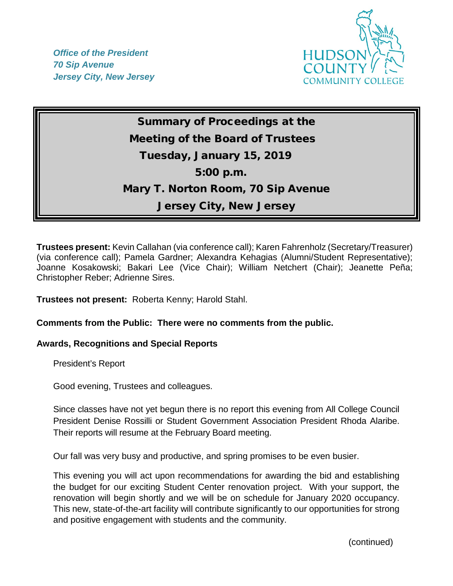*Office of the President 70 Sip Avenue Jersey City, New Jersey*



Summary of Proceedings at the Meeting of the Board of Trustees Tuesday, January 15, 2019 5:00 p.m. Mary T. Norton Room, 70 Sip Avenue Jersey City, New Jersey

**Trustees present:** Kevin Callahan (via conference call); Karen Fahrenholz (Secretary/Treasurer) (via conference call); Pamela Gardner; Alexandra Kehagias (Alumni/Student Representative); Joanne Kosakowski; Bakari Lee (Vice Chair); William Netchert (Chair); Jeanette Peña; Christopher Reber; Adrienne Sires.

**Trustees not present:** Roberta Kenny; Harold Stahl.

# **Comments from the Public: There were no comments from the public.**

### **Awards, Recognitions and Special Reports**

President's Report

Good evening, Trustees and colleagues.

Since classes have not yet begun there is no report this evening from All College Council President Denise Rossilli or Student Government Association President Rhoda Alaribe. Their reports will resume at the February Board meeting.

Our fall was very busy and productive, and spring promises to be even busier.

This evening you will act upon recommendations for awarding the bid and establishing the budget for our exciting Student Center renovation project. With your support, the renovation will begin shortly and we will be on schedule for January 2020 occupancy. This new, state-of-the-art facility will contribute significantly to our opportunities for strong and positive engagement with students and the community.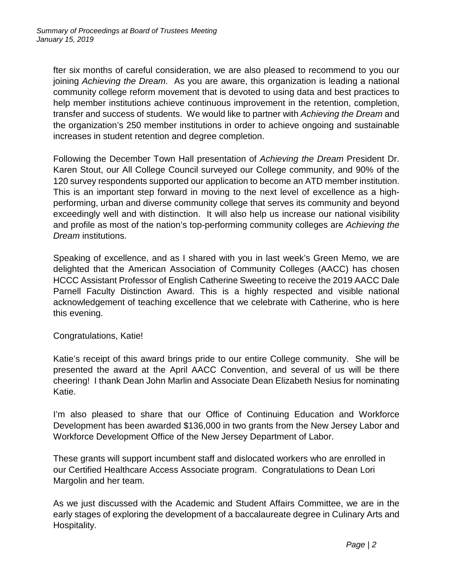fter six months of careful consideration, we are also pleased to recommend to you our joining *Achieving the Dream*. As you are aware, this organization is leading a national community college reform movement that is devoted to using data and best practices to help member institutions achieve continuous improvement in the retention, completion, transfer and success of students. We would like to partner with *Achieving the Dream* and the organization's 250 member institutions in order to achieve ongoing and sustainable increases in student retention and degree completion.

Following the December Town Hall presentation of *Achieving the Dream* President Dr. Karen Stout, our All College Council surveyed our College community, and 90% of the 120 survey respondents supported our application to become an ATD member institution. This is an important step forward in moving to the next level of excellence as a highperforming, urban and diverse community college that serves its community and beyond exceedingly well and with distinction. It will also help us increase our national visibility and profile as most of the nation's top-performing community colleges are *Achieving the Dream* institutions.

Speaking of excellence, and as I shared with you in last week's Green Memo, we are delighted that the American Association of Community Colleges (AACC) has chosen HCCC Assistant Professor of English Catherine Sweeting to receive the 2019 AACC Dale Parnell Faculty Distinction Award. This is a highly respected and visible national acknowledgement of teaching excellence that we celebrate with Catherine, who is here this evening.

Congratulations, Katie!

Katie's receipt of this award brings pride to our entire College community. She will be presented the award at the April AACC Convention, and several of us will be there cheering! I thank Dean John Marlin and Associate Dean Elizabeth Nesius for nominating Katie.

I'm also pleased to share that our Office of Continuing Education and Workforce Development has been awarded \$136,000 in two grants from the New Jersey Labor and Workforce Development Office of the New Jersey Department of Labor.

These grants will support incumbent staff and dislocated workers who are enrolled in our Certified Healthcare Access Associate program. Congratulations to Dean Lori Margolin and her team.

As we just discussed with the Academic and Student Affairs Committee, we are in the early stages of exploring the development of a baccalaureate degree in Culinary Arts and Hospitality.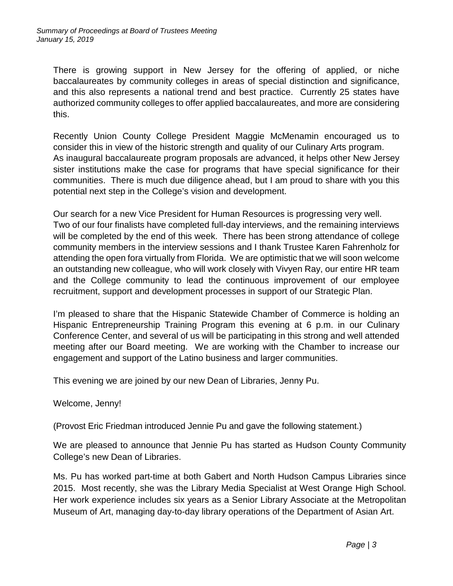There is growing support in New Jersey for the offering of applied, or niche baccalaureates by community colleges in areas of special distinction and significance, and this also represents a national trend and best practice. Currently 25 states have authorized community colleges to offer applied baccalaureates, and more are considering this.

Recently Union County College President Maggie McMenamin encouraged us to consider this in view of the historic strength and quality of our Culinary Arts program. As inaugural baccalaureate program proposals are advanced, it helps other New Jersey sister institutions make the case for programs that have special significance for their communities. There is much due diligence ahead, but I am proud to share with you this potential next step in the College's vision and development.

Our search for a new Vice President for Human Resources is progressing very well. Two of our four finalists have completed full-day interviews, and the remaining interviews will be completed by the end of this week. There has been strong attendance of college community members in the interview sessions and I thank Trustee Karen Fahrenholz for attending the open fora virtually from Florida. We are optimistic that we will soon welcome an outstanding new colleague, who will work closely with Vivyen Ray, our entire HR team and the College community to lead the continuous improvement of our employee recruitment, support and development processes in support of our Strategic Plan.

I'm pleased to share that the Hispanic Statewide Chamber of Commerce is holding an Hispanic Entrepreneurship Training Program this evening at 6 p.m. in our Culinary Conference Center, and several of us will be participating in this strong and well attended meeting after our Board meeting. We are working with the Chamber to increase our engagement and support of the Latino business and larger communities.

This evening we are joined by our new Dean of Libraries, Jenny Pu.

Welcome, Jenny!

(Provost Eric Friedman introduced Jennie Pu and gave the following statement.)

We are pleased to announce that Jennie Pu has started as Hudson County Community College's new Dean of Libraries.

Ms. Pu has worked part-time at both Gabert and North Hudson Campus Libraries since 2015. Most recently, she was the Library Media Specialist at West Orange High School. Her work experience includes six years as a Senior Library Associate at the Metropolitan Museum of Art, managing day-to-day library operations of the Department of Asian Art.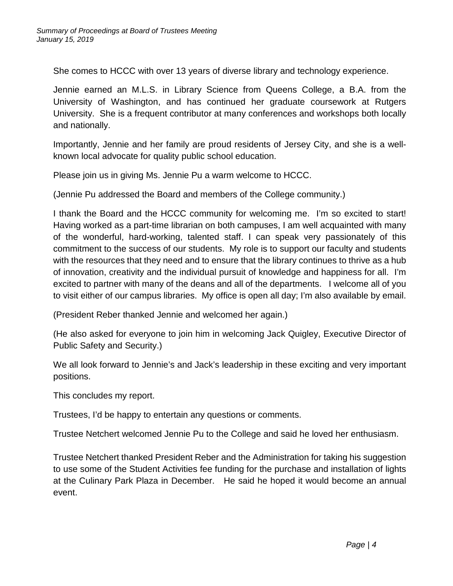She comes to HCCC with over 13 years of diverse library and technology experience.

Jennie earned an M.L.S. in Library Science from Queens College, a B.A. from the University of Washington, and has continued her graduate coursework at Rutgers University. She is a frequent contributor at many conferences and workshops both locally and nationally.

Importantly, Jennie and her family are proud residents of Jersey City, and she is a wellknown local advocate for quality public school education.

Please join us in giving Ms. Jennie Pu a warm welcome to HCCC.

(Jennie Pu addressed the Board and members of the College community.)

I thank the Board and the HCCC community for welcoming me. I'm so excited to start! Having worked as a part-time librarian on both campuses, I am well acquainted with many of the wonderful, hard-working, talented staff. I can speak very passionately of this commitment to the success of our students. My role is to support our faculty and students with the resources that they need and to ensure that the library continues to thrive as a hub of innovation, creativity and the individual pursuit of knowledge and happiness for all. I'm excited to partner with many of the deans and all of the departments. I welcome all of you to visit either of our campus libraries. My office is open all day; I'm also available by email.

(President Reber thanked Jennie and welcomed her again.)

(He also asked for everyone to join him in welcoming Jack Quigley, Executive Director of Public Safety and Security.)

We all look forward to Jennie's and Jack's leadership in these exciting and very important positions.

This concludes my report.

Trustees, I'd be happy to entertain any questions or comments.

Trustee Netchert welcomed Jennie Pu to the College and said he loved her enthusiasm.

Trustee Netchert thanked President Reber and the Administration for taking his suggestion to use some of the Student Activities fee funding for the purchase and installation of lights at the Culinary Park Plaza in December. He said he hoped it would become an annual event.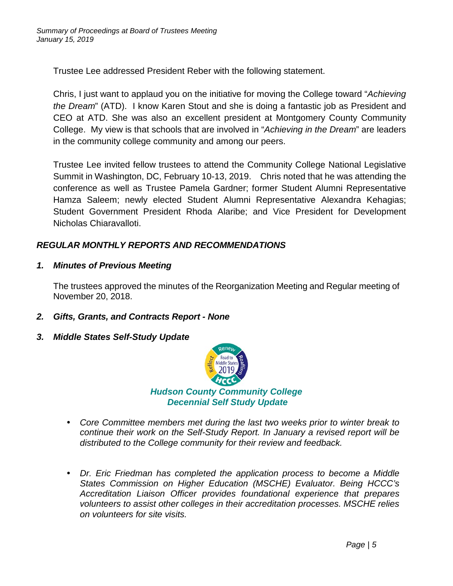Trustee Lee addressed President Reber with the following statement.

Chris, I just want to applaud you on the initiative for moving the College toward "*Achieving the Dream*" (ATD). I know Karen Stout and she is doing a fantastic job as President and CEO at ATD. She was also an excellent president at Montgomery County Community College. My view is that schools that are involved in "*Achieving in the Dream*" are leaders in the community college community and among our peers.

Trustee Lee invited fellow trustees to attend the Community College National Legislative Summit in Washington, DC, February 10-13, 2019. Chris noted that he was attending the conference as well as Trustee Pamela Gardner; former Student Alumni Representative Hamza Saleem; newly elected Student Alumni Representative Alexandra Kehagias; Student Government President Rhoda Alaribe; and Vice President for Development Nicholas Chiaravalloti.

# *REGULAR MONTHLY REPORTS AND RECOMMENDATIONS*

*1. Minutes of Previous Meeting*

The trustees approved the minutes of the Reorganization Meeting and Regular meeting of November 20, 2018.

- *2. Gifts, Grants, and Contracts Report - None*
- *3. Middle States Self-Study Update*



- *Core Committee members met during the last two weeks prior to winter break to continue their work on the Self-Study Report. In January a revised report will be distributed to the College community for their review and feedback.*
- *Dr. Eric Friedman has completed the application process to become a Middle States Commission on Higher Education (MSCHE) Evaluator. Being HCCC's Accreditation Liaison Officer provides foundational experience that prepares volunteers to assist other colleges in their accreditation processes. MSCHE relies on volunteers for site visits.*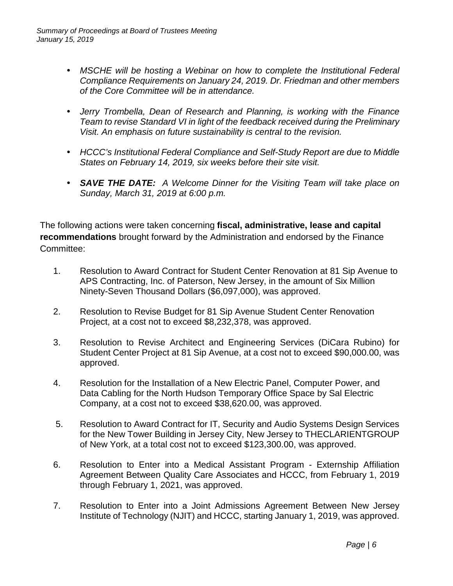- MSCHE will be hosting a Webinar on how to complete the Institutional Federal *Compliance Requirements on January 24, 2019. Dr. Friedman and other members of the Core Committee will be in attendance.*
- *Jerry Trombella, Dean of Research and Planning, is working with the Finance Team to revise Standard VI in light of the feedback received during the Preliminary Visit. An emphasis on future sustainability is central to the revision.*
- *HCCC's Institutional Federal Compliance and Self-Study Report are due to Middle States on February 14, 2019, six weeks before their site visit.*
- *SAVE THE DATE: A Welcome Dinner for the Visiting Team will take place on Sunday, March 31, 2019 at 6:00 p.m.*

The following actions were taken concerning **fiscal, administrative, lease and capital recommendations** brought forward by the Administration and endorsed by the Finance Committee:

- 1. Resolution to Award Contract for Student Center Renovation at 81 Sip Avenue to APS Contracting, Inc. of Paterson, New Jersey, in the amount of Six Million Ninety-Seven Thousand Dollars (\$6,097,000), was approved.
- 2. Resolution to Revise Budget for 81 Sip Avenue Student Center Renovation Project, at a cost not to exceed \$8,232,378, was approved.
- 3. Resolution to Revise Architect and Engineering Services (DiCara Rubino) for Student Center Project at 81 Sip Avenue, at a cost not to exceed \$90,000.00, was approved.
- 4. Resolution for the Installation of a New Electric Panel, Computer Power, and Data Cabling for the North Hudson Temporary Office Space by Sal Electric Company, at a cost not to exceed \$38,620.00, was approved.
- 5. Resolution to Award Contract for IT, Security and Audio Systems Design Services for the New Tower Building in Jersey City, New Jersey to THECLARIENTGROUP of New York, at a total cost not to exceed \$123,300.00, was approved.
- 6. Resolution to Enter into a Medical Assistant Program Externship Affiliation Agreement Between Quality Care Associates and HCCC, from February 1, 2019 through February 1, 2021, was approved.
- 7. Resolution to Enter into a Joint Admissions Agreement Between New Jersey Institute of Technology (NJIT) and HCCC, starting January 1, 2019, was approved.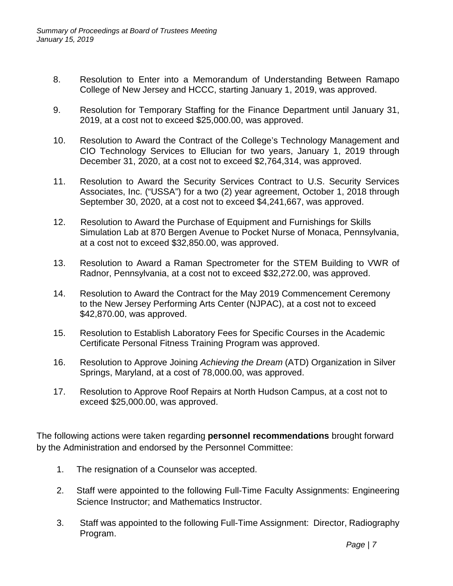- 8. Resolution to Enter into a Memorandum of Understanding Between Ramapo College of New Jersey and HCCC, starting January 1, 2019, was approved.
- 9. Resolution for Temporary Staffing for the Finance Department until January 31, 2019, at a cost not to exceed \$25,000.00, was approved.
- 10. Resolution to Award the Contract of the College's Technology Management and CIO Technology Services to Ellucian for two years, January 1, 2019 through December 31, 2020, at a cost not to exceed \$2,764,314, was approved.
- 11. Resolution to Award the Security Services Contract to U.S. Security Services Associates, Inc. ("USSA") for a two (2) year agreement, October 1, 2018 through September 30, 2020, at a cost not to exceed \$4,241,667, was approved.
- 12. Resolution to Award the Purchase of Equipment and Furnishings for Skills Simulation Lab at 870 Bergen Avenue to Pocket Nurse of Monaca, Pennsylvania, at a cost not to exceed \$32,850.00, was approved.
- 13. Resolution to Award a Raman Spectrometer for the STEM Building to VWR of Radnor, Pennsylvania, at a cost not to exceed \$32,272.00, was approved.
- 14. Resolution to Award the Contract for the May 2019 Commencement Ceremony to the New Jersey Performing Arts Center (NJPAC), at a cost not to exceed \$42,870.00, was approved.
- 15. Resolution to Establish Laboratory Fees for Specific Courses in the Academic Certificate Personal Fitness Training Program was approved.
- 16. Resolution to Approve Joining *Achieving the Dream* (ATD) Organization in Silver Springs, Maryland, at a cost of 78,000.00, was approved.
- 17. Resolution to Approve Roof Repairs at North Hudson Campus, at a cost not to exceed \$25,000.00, was approved.

The following actions were taken regarding **personnel recommendations** brought forward by the Administration and endorsed by the Personnel Committee:

- 1. The resignation of a Counselor was accepted.
- 2. Staff were appointed to the following Full-Time Faculty Assignments: Engineering Science Instructor; and Mathematics Instructor.
- 3. Staff was appointed to the following Full-Time Assignment: Director, Radiography Program.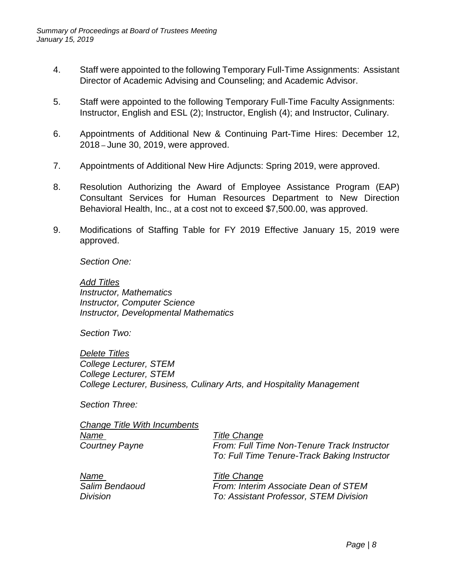- 4. Staff were appointed to the following Temporary Full-Time Assignments: Assistant Director of Academic Advising and Counseling; and Academic Advisor.
- 5. Staff were appointed to the following Temporary Full-Time Faculty Assignments: Instructor, English and ESL (2); Instructor, English (4); and Instructor, Culinary.
- 6. Appointments of Additional New & Continuing Part-Time Hires: December 12, 2018 – June 30, 2019, were approved.
- 7. Appointments of Additional New Hire Adjuncts: Spring 2019, were approved.
- 8. Resolution Authorizing the Award of Employee Assistance Program (EAP) Consultant Services for Human Resources Department to New Direction Behavioral Health, Inc., at a cost not to exceed \$7,500.00, was approved.
- 9. Modifications of Staffing Table for FY 2019 Effective January 15, 2019 were approved.

*Section One:*

*Add Titles Instructor, Mathematics Instructor, Computer Science Instructor, Developmental Mathematics* 

*Section Two:* 

*Delete Titles College Lecturer, STEM College Lecturer, STEM College Lecturer, Business, Culinary Arts, and Hospitality Management* 

*Section Three:*

*Change Title With Incumbents Name Title Change*

*Courtney Payne From: Full Time Non-Tenure Track Instructor To: Full Time Tenure-Track Baking Instructor* 

*Name Title Change*

*Salim Bendaoud From: Interim Associate Dean of STEM Division To: Assistant Professor, STEM Division*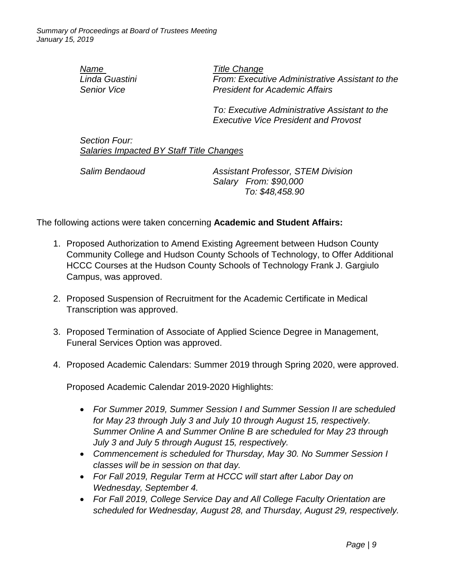*Name Title Change*

*Linda Guastini From: Executive Administrative Assistant to the Senior Vice President for Academic Affairs* 

> *To: Executive Administrative Assistant to the Executive Vice President and Provost*

*Section Four: Salaries Impacted BY Staff Title Changes*

*Salim Bendaoud Assistant Professor, STEM Division Salary From: \$90,000 To: \$48,458.90*

The following actions were taken concerning **Academic and Student Affairs:**

- 1. Proposed Authorization to Amend Existing Agreement between Hudson County Community College and Hudson County Schools of Technology, to Offer Additional HCCC Courses at the Hudson County Schools of Technology Frank J. Gargiulo Campus, was approved.
- 2. Proposed Suspension of Recruitment for the Academic Certificate in Medical Transcription was approved.
- 3. Proposed Termination of Associate of Applied Science Degree in Management, Funeral Services Option was approved.
- 4. Proposed Academic Calendars: Summer 2019 through Spring 2020, were approved.

Proposed Academic Calendar 2019-2020 Highlights:

- *For Summer 2019, Summer Session I and Summer Session II are scheduled for May 23 through July 3 and July 10 through August 15, respectively. Summer Online A and Summer Online B are scheduled for May 23 through July 3 and July 5 through August 15, respectively.*
- *Commencement is scheduled for Thursday, May 30. No Summer Session I classes will be in session on that day.*
- *For Fall 2019, Regular Term at HCCC will start after Labor Day on Wednesday, September 4.*
- *For Fall 2019, College Service Day and All College Faculty Orientation are scheduled for Wednesday, August 28, and Thursday, August 29, respectively.*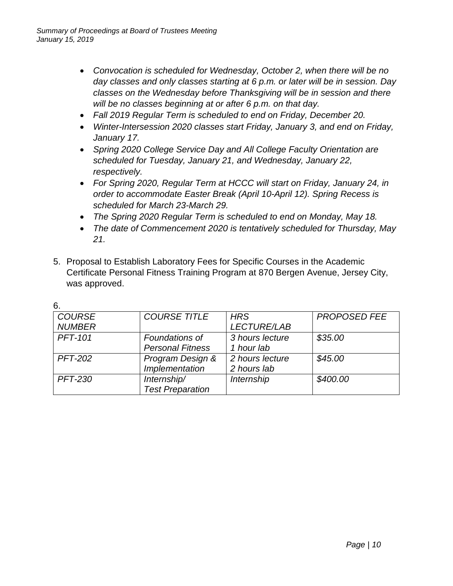- *Convocation is scheduled for Wednesday, October 2, when there will be no day classes and only classes starting at 6 p.m. or later will be in session. Day classes on the Wednesday before Thanksgiving will be in session and there will be no classes beginning at or after 6 p.m. on that day.*
- *Fall 2019 Regular Term is scheduled to end on Friday, December 20.*
- *Winter-Intersession 2020 classes start Friday, January 3, and end on Friday, January 17.*
- *Spring 2020 College Service Day and All College Faculty Orientation are scheduled for Tuesday, January 21, and Wednesday, January 22, respectively.*
- *For Spring 2020, Regular Term at HCCC will start on Friday, January 24, in order to accommodate Easter Break (April 10-April 12). Spring Recess is scheduled for March 23-March 29.*
- *The Spring 2020 Regular Term is scheduled to end on Monday, May 18.*
- *The date of Commencement 2020 is tentatively scheduled for Thursday, May 21.*
- 5. Proposal to Establish Laboratory Fees for Specific Courses in the Academic Certificate Personal Fitness Training Program at 870 Bergen Avenue, Jersey City, was approved.

| <b>COURSE</b>  | <b>COURSE TITLE</b>     | <b>HRS</b>         | <b>PROPOSED FEE</b> |
|----------------|-------------------------|--------------------|---------------------|
| <b>NUMBER</b>  |                         | <b>LECTURE/LAB</b> |                     |
| <b>PFT-101</b> | Foundations of          | 3 hours lecture    | \$35.00             |
|                | <b>Personal Fitness</b> | 1 hour lab         |                     |
| <b>PFT-202</b> | Program Design &        | 2 hours lecture    | \$45.00             |
|                | Implementation          | 2 hours lab        |                     |
| <b>PFT-230</b> | Internship/             | Internship         | \$400.00            |
|                | <b>Test Preparation</b> |                    |                     |

6.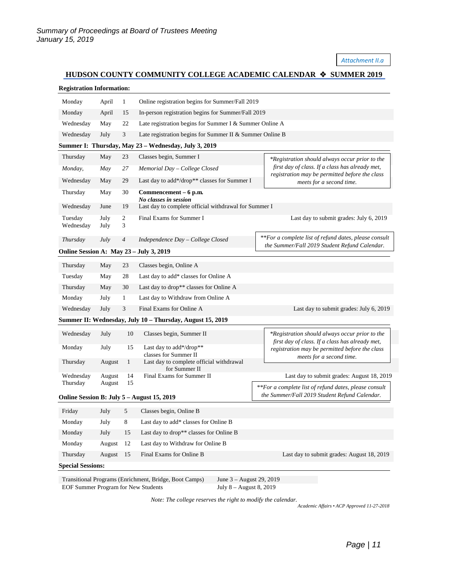#### *Attachment II.a*

# **HUDSON COUNTY COMMUNITY COLLEGE ACADEMIC CALENDAR**  $\triangle$  **SUMMER 2019**

| <b>Registration Information:</b>                                                         |                                                                       |                     |                                                                                    |                                                                                                   |  |  |  |
|------------------------------------------------------------------------------------------|-----------------------------------------------------------------------|---------------------|------------------------------------------------------------------------------------|---------------------------------------------------------------------------------------------------|--|--|--|
| Monday                                                                                   | April                                                                 | $\mathbf{1}$        | Online registration begins for Summer/Fall 2019                                    |                                                                                                   |  |  |  |
| Monday                                                                                   | April                                                                 | 15                  | In-person registration begins for Summer/Fall 2019                                 |                                                                                                   |  |  |  |
| Wednesday                                                                                | May                                                                   | 22                  | Late registration begins for Summer I & Summer Online A                            |                                                                                                   |  |  |  |
| Wednesday                                                                                | 3<br>Late registration begins for Summer II & Summer Online B<br>July |                     |                                                                                    |                                                                                                   |  |  |  |
|                                                                                          |                                                                       |                     | Summer I: Thursday, May 23 - Wednesday, July 3, 2019                               |                                                                                                   |  |  |  |
| Thursday                                                                                 | May                                                                   | 23                  | Classes begin, Summer I                                                            | *Registration should always occur prior to the                                                    |  |  |  |
| Monday,                                                                                  | May                                                                   | 27                  | Memorial Day - College Closed                                                      | first day of class. If a class has already met,                                                   |  |  |  |
| Wednesday                                                                                | May                                                                   | 29                  | Last day to add*/drop** classes for Summer I                                       | registration may be permitted before the class<br>meets for a second time.                        |  |  |  |
| Thursday                                                                                 | May                                                                   | 30                  | Commencement – 6 p.m.                                                              |                                                                                                   |  |  |  |
| Wednesday                                                                                | June                                                                  | 19                  | No classes in session<br>Last day to complete official withdrawal for Summer I     |                                                                                                   |  |  |  |
| Tuesday<br>Wednesday                                                                     | July<br>July                                                          | $\overline{c}$<br>3 | Final Exams for Summer I                                                           | Last day to submit grades: July 6, 2019                                                           |  |  |  |
| Thursday                                                                                 | July                                                                  | 4                   | Independence Day - College Closed                                                  | **For a complete list of refund dates, please consult                                             |  |  |  |
| the Summer/Fall 2019 Student Refund Calendar.<br>Online Session A: May 23 - July 3, 2019 |                                                                       |                     |                                                                                    |                                                                                                   |  |  |  |
| Thursday                                                                                 | May                                                                   | 23                  | Classes begin, Online A                                                            |                                                                                                   |  |  |  |
| Tuesday                                                                                  | May                                                                   | 28                  | Last day to add* classes for Online A                                              |                                                                                                   |  |  |  |
| Thursday                                                                                 | May                                                                   | 30                  | Last day to drop** classes for Online A                                            |                                                                                                   |  |  |  |
| Monday                                                                                   | July                                                                  | $\mathbf{1}$        | Last day to Withdraw from Online A                                                 |                                                                                                   |  |  |  |
| Wednesday                                                                                | July                                                                  | 3                   | Final Exams for Online A                                                           | Last day to submit grades: July 6, 2019                                                           |  |  |  |
|                                                                                          |                                                                       |                     | Summer II: Wednesday, July 10 - Thursday, August 15, 2019                          |                                                                                                   |  |  |  |
| Wednesday                                                                                | July                                                                  | 10                  | Classes begin, Summer II                                                           | *Registration should always occur prior to the<br>first day of class. If a class has already met, |  |  |  |
| Monday                                                                                   | July                                                                  | 15                  | Last day to add*/drop**                                                            | registration may be permitted before the class                                                    |  |  |  |
| Thursday                                                                                 | August                                                                | 1                   | classes for Summer II<br>Last day to complete official withdrawal                  | meets for a second time.                                                                          |  |  |  |
| Wednesday                                                                                | August                                                                | 14                  | for Summer II<br>Final Exams for Summer II                                         | Last day to submit grades: August 18, 2019                                                        |  |  |  |
| Thursday                                                                                 | August                                                                | 15                  |                                                                                    | **For a complete list of refund dates, please consult                                             |  |  |  |
| Online Session B: July 5 – August 15, 2019                                               |                                                                       |                     |                                                                                    | the Summer/Fall 2019 Student Refund Calendar.                                                     |  |  |  |
| Friday                                                                                   | July                                                                  | 5                   | Classes begin, Online B                                                            |                                                                                                   |  |  |  |
| Monday                                                                                   | July                                                                  | 8                   | Last day to add* classes for Online B                                              |                                                                                                   |  |  |  |
| Monday                                                                                   | July                                                                  | 15                  | Last day to drop** classes for Online B                                            |                                                                                                   |  |  |  |
| Monday                                                                                   | August                                                                | 12                  | Last day to Withdraw for Online B                                                  |                                                                                                   |  |  |  |
| Thursday                                                                                 | August                                                                | 15                  | Final Exams for Online B                                                           | Last day to submit grades: August 18, 2019                                                        |  |  |  |
| <b>Special Sessions:</b>                                                                 |                                                                       |                     |                                                                                    |                                                                                                   |  |  |  |
|                                                                                          |                                                                       |                     | Transitional Programs (Enrichment, Bridge, Boot Camps)<br>June 3 - August 29, 2019 |                                                                                                   |  |  |  |

EOF Summer Program for New Students July 8 – August 8, 2019 *Note: The college reserves the right to modify the calendar.*

*Academic Affairs • ACP Approved 11-27-2018*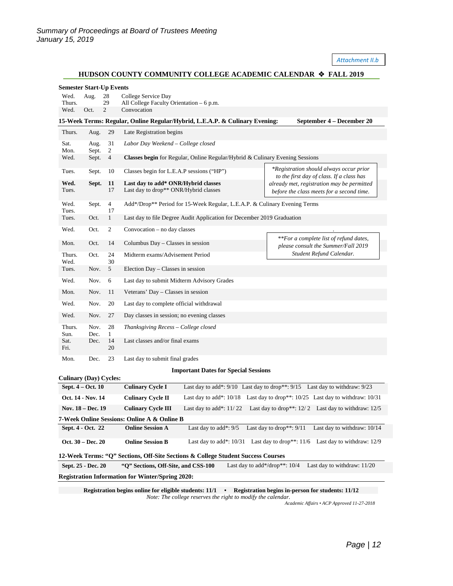*Attachment II.b*

### **HUDSON COUNTY COMMUNITY COLLEGE ACADEMIC CALENDAR FALL 2019**

| <b>Semester Start-Up Events</b>                                                                                                               |                                   |                      |                                                                                                                                                                                                                      |  |  |  |  |
|-----------------------------------------------------------------------------------------------------------------------------------------------|-----------------------------------|----------------------|----------------------------------------------------------------------------------------------------------------------------------------------------------------------------------------------------------------------|--|--|--|--|
| Wed.                                                                                                                                          | 28<br>Aug.<br>College Service Day |                      |                                                                                                                                                                                                                      |  |  |  |  |
| Thurs.<br>Wed.                                                                                                                                | Oct.                              | 29<br>$\overline{2}$ | All College Faculty Orientation – 6 p.m.                                                                                                                                                                             |  |  |  |  |
| Convocation<br>15-Week Terms: Regular, Online Regular/Hybrid, L.E.A.P. & Culinary Evening:<br>September 4 – December 20                       |                                   |                      |                                                                                                                                                                                                                      |  |  |  |  |
| Thurs.                                                                                                                                        | Aug.                              | 29                   | Late Registration begins                                                                                                                                                                                             |  |  |  |  |
| Sat.<br>Mon.                                                                                                                                  | Aug.<br>Sept.                     | 31<br>$\overline{2}$ | Labor Day Weekend – College closed                                                                                                                                                                                   |  |  |  |  |
| Wed.                                                                                                                                          | Sept.                             | $\overline{4}$       | Classes begin for Regular, Online Regular/Hybrid & Culinary Evening Sessions                                                                                                                                         |  |  |  |  |
| Tues.                                                                                                                                         | Sept.                             | 10                   | *Registration should always occur prior<br>Classes begin for L.E.A.P sessions ("HP")                                                                                                                                 |  |  |  |  |
| Wed.<br>Tues.                                                                                                                                 | Sept.                             | 11<br>17             | to the first day of class. If a class has<br>Last day to add* ONR/Hybrid classes<br>already met, registration may be permitted<br>Last day to drop** ONR/Hybrid classes<br>before the class meets for a second time. |  |  |  |  |
| Wed.<br>Tues.                                                                                                                                 | Sept.                             | $\overline{4}$<br>17 | Add*/Drop** Period for 15-Week Regular, L.E.A.P. & Culinary Evening Terms                                                                                                                                            |  |  |  |  |
| Tues.                                                                                                                                         | Oct.                              | $\mathbf{1}$         | Last day to file Degree Audit Application for December 2019 Graduation                                                                                                                                               |  |  |  |  |
| Wed.                                                                                                                                          | Oct.                              | 2                    | Convocation – no day classes<br>**For a complete list of refund dates,                                                                                                                                               |  |  |  |  |
| Mon.                                                                                                                                          | Oct.                              | 14                   | Columbus Day - Classes in session<br>please consult the Summer/Fall 2019                                                                                                                                             |  |  |  |  |
| Thurs.<br>Wed.                                                                                                                                | Oct.                              | 24<br>30             | Student Refund Calendar.<br>Midterm exams/Advisement Period                                                                                                                                                          |  |  |  |  |
| Tues.                                                                                                                                         | Nov.                              | 5                    | Election Day - Classes in session                                                                                                                                                                                    |  |  |  |  |
| Wed.                                                                                                                                          | Nov.                              | 6                    | Last day to submit Midterm Advisory Grades                                                                                                                                                                           |  |  |  |  |
| Mon.                                                                                                                                          | Nov.                              | 11                   | Veterans' Day - Classes in session                                                                                                                                                                                   |  |  |  |  |
| Wed.<br>Wed.                                                                                                                                  | Nov.<br>Nov.                      | 20<br>27             | Last day to complete official withdrawal                                                                                                                                                                             |  |  |  |  |
| Thurs.                                                                                                                                        | Nov.                              | 28                   | Day classes in session; no evening classes<br>Thanksgiving Recess - College closed                                                                                                                                   |  |  |  |  |
| Sun.                                                                                                                                          | Dec.                              | 1                    |                                                                                                                                                                                                                      |  |  |  |  |
| Sat.<br>Fri.                                                                                                                                  | Dec.                              | 14<br>20             | Last classes and/or final exams                                                                                                                                                                                      |  |  |  |  |
| Mon.                                                                                                                                          | Dec.                              | 23                   | Last day to submit final grades                                                                                                                                                                                      |  |  |  |  |
| <b>Important Dates for Special Sessions</b><br><b>Culinary (Day) Cycles:</b>                                                                  |                                   |                      |                                                                                                                                                                                                                      |  |  |  |  |
| Sept. 4 - Oct. 10                                                                                                                             |                                   |                      | Last day to add*: 9/10 Last day to drop**: 9/15 Last day to withdraw: 9/23<br><b>Culinary Cycle I</b>                                                                                                                |  |  |  |  |
|                                                                                                                                               | Oct. 14 - Nov. 14                 |                      | Last day to add*: 10/18 Last day to drop**: 10/25 Last day to withdraw: 10/31<br><b>Culinary Cycle II</b>                                                                                                            |  |  |  |  |
| Last day to drop**: $12/2$ Last day to withdraw: $12/5$<br>Last day to add*: $11/22$<br><b>Nov. 18 – Dec. 19</b><br><b>Culinary Cycle III</b> |                                   |                      |                                                                                                                                                                                                                      |  |  |  |  |
| 7-Week Online Sessions: Online A & Online B                                                                                                   |                                   |                      |                                                                                                                                                                                                                      |  |  |  |  |
| Sept. 4 - Oct. 22                                                                                                                             |                                   |                      | Last day to drop**: 9/11<br>Last day to add*: 9/5<br><b>Online Session A</b><br>Last day to withdraw: 10/14                                                                                                          |  |  |  |  |
| Oct. 30 - Dec. 20                                                                                                                             |                                   |                      | <b>Online Session B</b><br>Last day to add*: $10/31$ Last day to drop**: $11/6$<br>Last day to withdraw: 12/9                                                                                                        |  |  |  |  |
| 12-Week Terms: "Q" Sections, Off-Site Sections & College Student Success Courses                                                              |                                   |                      |                                                                                                                                                                                                                      |  |  |  |  |
| Last day to withdraw: 11/20<br>Sept. 25 - Dec. 20<br>"Q" Sections, Off-Site, and CSS-100<br>Last day to add*/drop**: $10/4$                   |                                   |                      |                                                                                                                                                                                                                      |  |  |  |  |
| Registration Information for Winter/Spring 2020:                                                                                              |                                   |                      |                                                                                                                                                                                                                      |  |  |  |  |

**Registration begins online for eligible students: 11/1 • Registration begins in-person for students: 11/12** *Note: The college reserves the right to modify the calendar.*

*Academic Affairs • ACP Approved 11-27-2018*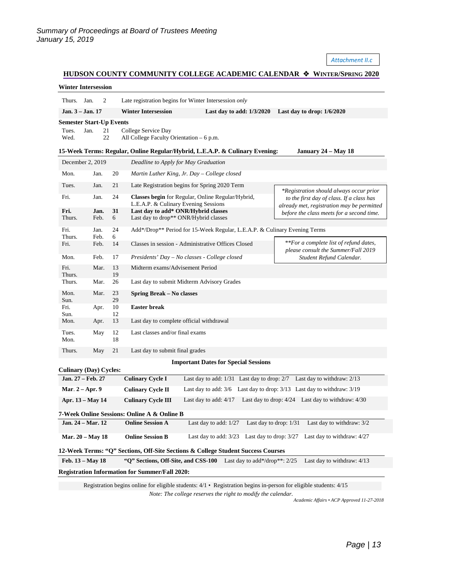*Attachment II.c*

#### **HUDSON COUNTY COMMUNITY COLLEGE ACADEMIC CALENDAR**  $\triangle$  **WINTER/SPRING 2020**

| <b>Winter Intersession</b>                                                                                             |                                                                                                                                |                           |                                                                                                       |                                                                                           |                                                                                         |  |
|------------------------------------------------------------------------------------------------------------------------|--------------------------------------------------------------------------------------------------------------------------------|---------------------------|-------------------------------------------------------------------------------------------------------|-------------------------------------------------------------------------------------------|-----------------------------------------------------------------------------------------|--|
| Thurs. Jan.                                                                                                            | 2                                                                                                                              |                           |                                                                                                       | Late registration begins for Winter Intersession only                                     |                                                                                         |  |
|                                                                                                                        | Jan. 3 - Jan. 17                                                                                                               |                           | <b>Winter Intersession</b>                                                                            | Last day to add: $1/3/2020$                                                               | Last day to drop: $1/6/2020$                                                            |  |
|                                                                                                                        | <b>Semester Start-Up Events</b>                                                                                                |                           |                                                                                                       |                                                                                           |                                                                                         |  |
| 21<br>Jan.<br>College Service Day<br>Tues.<br>22<br>Wed.<br>All College Faculty Orientation – 6 p.m.                   |                                                                                                                                |                           |                                                                                                       |                                                                                           |                                                                                         |  |
|                                                                                                                        |                                                                                                                                |                           |                                                                                                       | 15-Week Terms: Regular, Online Regular/Hybrid, L.E.A.P. & Culinary Evening:               | January 24 – May 18                                                                     |  |
| December 2, 2019<br>Deadline to Apply for May Graduation                                                               |                                                                                                                                |                           |                                                                                                       |                                                                                           |                                                                                         |  |
| Mon.                                                                                                                   | Jan.                                                                                                                           | 20                        |                                                                                                       | Martin Luther King, Jr. Day – College closed                                              |                                                                                         |  |
| Tues.                                                                                                                  | Jan.                                                                                                                           | 21                        |                                                                                                       | Late Registration begins for Spring 2020 Term                                             | *Registration should always occur prior                                                 |  |
| Fri.                                                                                                                   | Jan.                                                                                                                           | 24                        |                                                                                                       | Classes begin for Regular, Online Regular/Hybrid,<br>L.E.A.P. & Culinary Evening Sessions | to the first day of class. If a class has<br>already met, registration may be permitted |  |
| Fri.<br>Thurs.                                                                                                         | Jan.<br>Feb.                                                                                                                   | 31<br>6                   |                                                                                                       | Last day to add* ONR/Hybrid classes<br>Last day to drop** ONR/Hybrid classes              | before the class meets for a second time.                                               |  |
| Fri.<br>Thurs.                                                                                                         | Jan.<br>Feb.                                                                                                                   | 24<br>6                   |                                                                                                       | Add*/Drop** Period for 15-Week Regular, L.E.A.P. & Culinary Evening Terms                 |                                                                                         |  |
| Fri.                                                                                                                   | Feb.                                                                                                                           | 14                        |                                                                                                       | Classes in session - Administrative Offices Closed                                        | **For a complete list of refund dates,<br>please consult the Summer/Fall 2019           |  |
| Mon.                                                                                                                   | Feb.                                                                                                                           | 17                        |                                                                                                       | Presidents' Day – No classes - College closed                                             | Student Refund Calendar.                                                                |  |
| Fri.<br>Thurs.                                                                                                         | Mar.                                                                                                                           | 13<br>19                  | Midterm exams/Advisement Period                                                                       |                                                                                           |                                                                                         |  |
| Thurs.                                                                                                                 | Mar.                                                                                                                           | 26                        | Last day to submit Midterm Advisory Grades                                                            |                                                                                           |                                                                                         |  |
| Mon.<br>Sun.                                                                                                           | Mar.                                                                                                                           | 23<br>29                  | <b>Spring Break – No classes</b>                                                                      |                                                                                           |                                                                                         |  |
| Fri.<br>Sun.                                                                                                           | Apr.                                                                                                                           | 10<br>12                  | <b>Easter break</b>                                                                                   |                                                                                           |                                                                                         |  |
| Mon.                                                                                                                   | Apr.                                                                                                                           | 13                        | Last day to complete official withdrawal                                                              |                                                                                           |                                                                                         |  |
| Tues.<br>Mon.                                                                                                          | May                                                                                                                            | 12<br>18                  | Last classes and/or final exams                                                                       |                                                                                           |                                                                                         |  |
| Thurs.                                                                                                                 | May                                                                                                                            | 21                        | Last day to submit final grades                                                                       |                                                                                           |                                                                                         |  |
| <b>Important Dates for Special Sessions</b>                                                                            |                                                                                                                                |                           |                                                                                                       |                                                                                           |                                                                                         |  |
| <b>Culinary (Day) Cycles:</b>                                                                                          |                                                                                                                                |                           |                                                                                                       |                                                                                           |                                                                                         |  |
| Jan. 27 - Feb. 27<br><b>Culinary Cycle I</b><br>Last day to add: 1/31 Last day to drop: 2/7 Last day to withdraw: 2/13 |                                                                                                                                |                           |                                                                                                       |                                                                                           |                                                                                         |  |
|                                                                                                                        | Mar. $2 - Apr.9$                                                                                                               |                           | <b>Culinary Cycle II</b>                                                                              | Last day to add: 3/6 Last day to drop: 3/13 Last day to withdraw: 3/19                    |                                                                                         |  |
| Apr. 13 – May 14                                                                                                       |                                                                                                                                | <b>Culinary Cycle III</b> |                                                                                                       | Last day to add: $4/17$ Last day to drop: $4/24$ Last day to withdraw: $4/30$             |                                                                                         |  |
| 7-Week Online Sessions: Online A & Online B                                                                            |                                                                                                                                |                           |                                                                                                       |                                                                                           |                                                                                         |  |
|                                                                                                                        | Last day to drop: 1/31<br><b>Online Session A</b><br>Last day to add: $1/27$<br>Last day to withdraw: 3/2<br>Jan. 24 – Mar. 12 |                           |                                                                                                       |                                                                                           |                                                                                         |  |
| <b>Mar. 20 - May 18</b>                                                                                                |                                                                                                                                |                           | Last day to add: 3/23 Last day to drop: 3/27<br><b>Online Session B</b><br>Last day to withdraw: 4/27 |                                                                                           |                                                                                         |  |

**12-Week Terms: "Q" Sections, Off-Site Sections & College Student Success Courses Feb. 13 – May 18 "Q" Sections, Off-Site, and CSS-100** Last day to add\*/drop\*\*: 2/25 Last day to withdraw: 4/13

**Registration Information for Summer/Fall 2020:**

Registration begins online for eligible students: 4/1 • Registration begins in-person for eligible students: 4/15 *Note: The college reserves the right to modify the calendar.*

*Academic Affairs • ACP Approved 11-27-2018*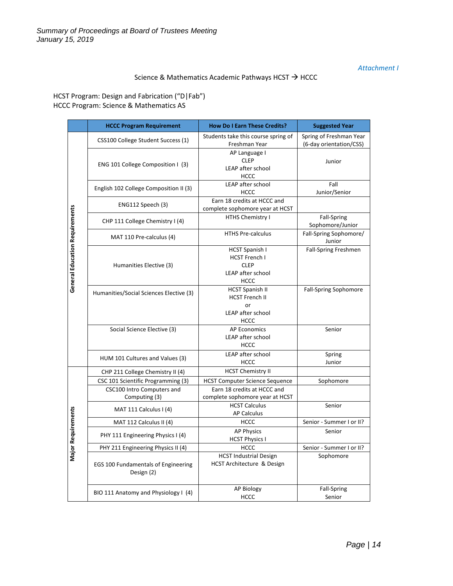### *Attachment I*

### Science & Mathematics Academic Pathways HCST  $\rightarrow$  HCCC

HCST Program: Design and Fabrication ("D|Fab") HCCC Program: Science & Mathematics AS

|                                | <b>HCCC Program Requirement</b>                                                   | <b>How Do I Earn These Credits?</b>                                                                     | <b>Suggested Year</b>                              |
|--------------------------------|-----------------------------------------------------------------------------------|---------------------------------------------------------------------------------------------------------|----------------------------------------------------|
|                                | CSS100 College Student Success (1)                                                | Students take this course spring of<br>Freshman Year                                                    | Spring of Freshman Year<br>(6-day orientation/CSS) |
|                                | ENG 101 College Composition I (3)                                                 | AP Language I<br><b>CLEP</b><br>LEAP after school<br><b>HCCC</b>                                        | Junior                                             |
|                                | English 102 College Composition II (3)                                            | LEAP after school<br><b>HCCC</b>                                                                        | Fall<br>Junior/Senior                              |
|                                | ENG112 Speech (3)                                                                 | Earn 18 credits at HCCC and<br>complete sophomore year at HCST                                          |                                                    |
|                                | CHP 111 College Chemistry I (4)                                                   | HTHS Chemistry I                                                                                        | <b>Fall-Spring</b><br>Sophomore/Junior             |
| General Education Requirements | MAT 110 Pre-calculus (4)                                                          | <b>HTHS Pre-calculus</b>                                                                                | Fall-Spring Sophomore/<br>Junior                   |
|                                | Humanities Elective (3)                                                           | <b>HCST Spanish I</b><br><b>HCST French I</b><br><b>CLEP</b><br>LEAP after school<br><b>HCCC</b>        | Fall-Spring Freshmen                               |
|                                | Humanities/Social Sciences Elective (3)                                           | <b>HCST Spanish II</b><br><b>HCST French II</b><br>or<br>LEAP after school<br><b>HCCC</b>               | Fall-Spring Sophomore                              |
|                                | Social Science Elective (3)                                                       | <b>AP Economics</b><br><b>LEAP after school</b><br><b>HCCC</b>                                          | Senior                                             |
|                                | HUM 101 Cultures and Values (3)                                                   | LEAP after school<br><b>HCCC</b>                                                                        | Spring<br>Junior                                   |
|                                | CHP 211 College Chemistry II (4)                                                  | <b>HCST Chemistry II</b>                                                                                |                                                    |
|                                | CSC 101 Scientific Programming (3)<br>CSC100 Intro Computers and<br>Computing (3) | <b>HCST Computer Science Sequence</b><br>Earn 18 credits at HCCC and<br>complete sophomore year at HCST | Sophomore                                          |
|                                | MAT 111 Calculus I (4)                                                            | <b>HCST Calculus</b><br><b>AP Calculus</b>                                                              | Senior                                             |
|                                | MAT 112 Calculus II (4)                                                           | <b>HCCC</b>                                                                                             | Senior - Summer I or II?                           |
| <b>Major Requirements</b>      | PHY 111 Engineering Physics I (4)                                                 | <b>AP Physics</b><br><b>HCST Physics I</b>                                                              | Senior                                             |
|                                | PHY 211 Engineering Physics II (4)                                                | <b>HCCC</b>                                                                                             | Senior - Summer I or II?                           |
|                                | EGS 100 Fundamentals of Engineering<br>Design (2)                                 | <b>HCST Industrial Design</b><br>HCST Architecture & Design                                             | Sophomore                                          |
|                                | BIO 111 Anatomy and Physiology I (4)                                              | AP Biology<br><b>HCCC</b>                                                                               | <b>Fall-Spring</b><br>Senior                       |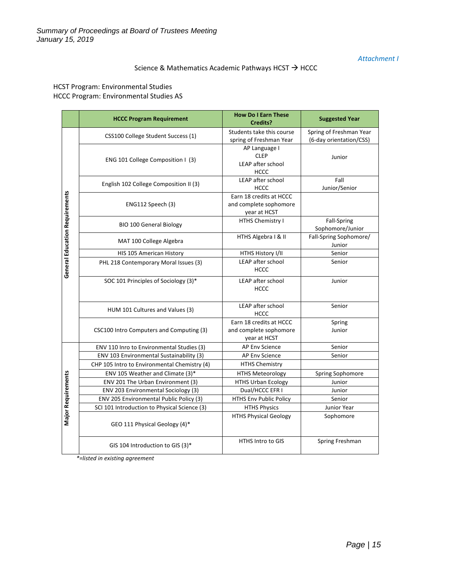### *Attachment I*

# Science & Mathematics Academic Pathways HCST  $\rightarrow$  HCCC

HCST Program: Environmental Studies HCCC Program: Environmental Studies AS

|                                | <b>HCCC Program Requirement</b>              | <b>How Do I Earn These</b><br>Credits?                            | <b>Suggested Year</b>                              |
|--------------------------------|----------------------------------------------|-------------------------------------------------------------------|----------------------------------------------------|
|                                | CSS100 College Student Success (1)           | Students take this course<br>spring of Freshman Year              | Spring of Freshman Year<br>(6-day orientation/CSS) |
|                                | ENG 101 College Composition I (3)            | AP Language I<br><b>CLEP</b><br>LEAP after school<br><b>HCCC</b>  | Junior                                             |
|                                | English 102 College Composition II (3)       | LEAP after school<br><b>HCCC</b>                                  | Fall<br>Junior/Senior                              |
| General Education Requirements | ENG112 Speech (3)                            | Earn 18 credits at HCCC<br>and complete sophomore<br>year at HCST |                                                    |
|                                | <b>BIO 100 General Biology</b>               | HTHS Chemistry I                                                  | Fall-Spring<br>Sophomore/Junior                    |
|                                | MAT 100 College Algebra                      | HTHS Algebra   & II                                               | Fall-Spring Sophomore/<br>Junior                   |
|                                | HIS 105 American History                     | HTHS History I/II                                                 | Senior                                             |
|                                | PHL 218 Contemporary Moral Issues (3)        | LEAP after school<br><b>HCCC</b>                                  | Senior                                             |
|                                | SOC 101 Principles of Sociology (3)*         | LEAP after school<br><b>HCCC</b>                                  | Junior                                             |
|                                | HUM 101 Cultures and Values (3)              | LEAP after school<br><b>HCCC</b>                                  | Senior                                             |
|                                | CSC100 Intro Computers and Computing (3)     | Earn 18 credits at HCCC<br>and complete sophomore<br>year at HCST | Spring<br>Junior                                   |
|                                | ENV 110 Inro to Environmental Studies (3)    | AP Env Science                                                    | Senior                                             |
|                                | ENV 103 Environmental Sustainability (3)     | AP Env Science                                                    | Senior                                             |
|                                | CHP 105 Intro to Environmental Chemistry (4) | <b>HTHS Chemistry</b>                                             |                                                    |
|                                | ENV 105 Weather and Climate (3)*             | <b>HTHS Meteorology</b>                                           | Spring Sophomore                                   |
|                                | ENV 201 The Urban Environment (3)            | <b>HTHS Urban Ecology</b>                                         | Junior                                             |
|                                | ENV 203 Environmental Sociology (3)          | Dual/HCCC EFR I                                                   | Junior                                             |
|                                | ENV 205 Environmental Public Policy (3)      | <b>HTHS Env Public Policy</b>                                     | Senior                                             |
|                                | SCI 101 Introduction to Physical Science (3) | <b>HTHS Physics</b>                                               | Junior Year                                        |
| <b>Major Requirements</b>      | GEO 111 Physical Geology (4)*                | <b>HTHS Physical Geology</b>                                      | Sophomore                                          |
|                                | GIS 104 Introduction to GIS (3)*             | HTHS Intro to GIS                                                 | Spring Freshman                                    |

*\*=listed in existing agreement*